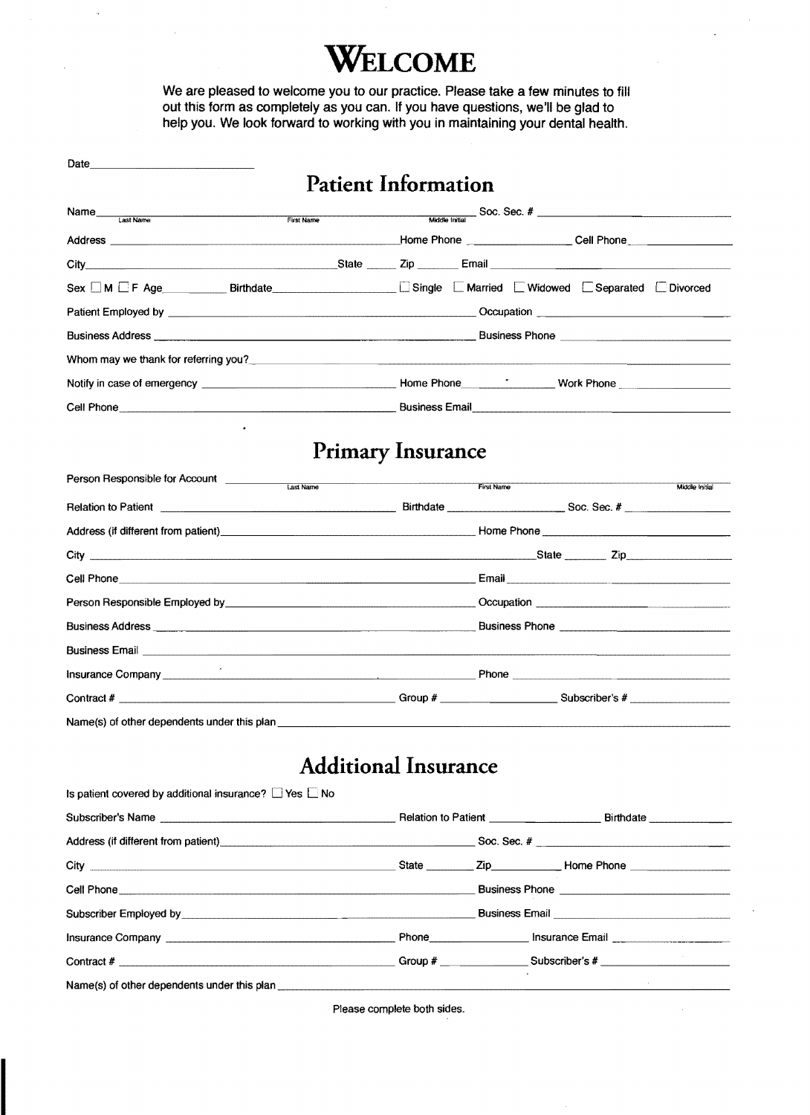## **WELCOME**

We are pleased to welcome you to our practice. Please take a few minutes to fill out this form as completely as you can. If you have questions, we'll be glad to help you. We look forward to working with you in maintaining your dental health.

| Date and the contract of the contract of the contract of the contract of the contract of the contract of the contract of the contract of the contract of the contract of the contract of the contract of the contract of the c |                                                                                                                                                                                                                                     |                |  |  |
|--------------------------------------------------------------------------------------------------------------------------------------------------------------------------------------------------------------------------------|-------------------------------------------------------------------------------------------------------------------------------------------------------------------------------------------------------------------------------------|----------------|--|--|
|                                                                                                                                                                                                                                | <b>Patient Information</b>                                                                                                                                                                                                          |                |  |  |
| Name<br>Last Name<br>First Name                                                                                                                                                                                                |                                                                                                                                                                                                                                     |                |  |  |
|                                                                                                                                                                                                                                |                                                                                                                                                                                                                                     |                |  |  |
|                                                                                                                                                                                                                                |                                                                                                                                                                                                                                     |                |  |  |
|                                                                                                                                                                                                                                | Sex MEF Age Birthdate Birthdate Single E Married E Widowed E Separated E Divorced                                                                                                                                                   |                |  |  |
|                                                                                                                                                                                                                                |                                                                                                                                                                                                                                     |                |  |  |
|                                                                                                                                                                                                                                |                                                                                                                                                                                                                                     |                |  |  |
|                                                                                                                                                                                                                                |                                                                                                                                                                                                                                     |                |  |  |
|                                                                                                                                                                                                                                |                                                                                                                                                                                                                                     |                |  |  |
|                                                                                                                                                                                                                                |                                                                                                                                                                                                                                     |                |  |  |
|                                                                                                                                                                                                                                | <b>Primary Insurance</b>                                                                                                                                                                                                            |                |  |  |
|                                                                                                                                                                                                                                | First Name                                                                                                                                                                                                                          | Middle Initial |  |  |
|                                                                                                                                                                                                                                | Relation to Patient <b>Construction Construction</b> Birthdate <b>Construction</b> Soc. Sec. #                                                                                                                                      |                |  |  |
|                                                                                                                                                                                                                                | Address (if different from patient) example and the state of the state of the Phone Phone Phone Change in the State of the State of the State of the State of the State of the State of the State of the State of the State of      |                |  |  |
|                                                                                                                                                                                                                                |                                                                                                                                                                                                                                     |                |  |  |
|                                                                                                                                                                                                                                |                                                                                                                                                                                                                                     |                |  |  |
|                                                                                                                                                                                                                                |                                                                                                                                                                                                                                     |                |  |  |
|                                                                                                                                                                                                                                |                                                                                                                                                                                                                                     |                |  |  |
|                                                                                                                                                                                                                                |                                                                                                                                                                                                                                     |                |  |  |
|                                                                                                                                                                                                                                | Insurance Company <b>Exercía Company</b> and Company and Company and Company and Company and Company and Company and Company and Company and Company and Company and Company and Company and Company and Company and Company and Co |                |  |  |
|                                                                                                                                                                                                                                |                                                                                                                                                                                                                                     |                |  |  |
| Name(s) of other dependents under this plan example and an example of the state of the state of the state of the state of the state of the state of the state of the state of the state of the state of the state of the state |                                                                                                                                                                                                                                     |                |  |  |
|                                                                                                                                                                                                                                | <b>Additional Insurance</b>                                                                                                                                                                                                         |                |  |  |
| Is patient covered by additional insurance? $\Box$ Yes $\Box$ No                                                                                                                                                               |                                                                                                                                                                                                                                     |                |  |  |
|                                                                                                                                                                                                                                |                                                                                                                                                                                                                                     |                |  |  |
|                                                                                                                                                                                                                                | Address (if different from patient) entertainment and the Soc. Sec. #                                                                                                                                                               |                |  |  |
|                                                                                                                                                                                                                                |                                                                                                                                                                                                                                     |                |  |  |
|                                                                                                                                                                                                                                |                                                                                                                                                                                                                                     |                |  |  |
|                                                                                                                                                                                                                                | Subscriber Employed by <b>Example 2018</b> Subscriber Employee by <b>Example 2018</b> Districts Conditionary Publishers Email                                                                                                       |                |  |  |
|                                                                                                                                                                                                                                |                                                                                                                                                                                                                                     |                |  |  |
|                                                                                                                                                                                                                                |                                                                                                                                                                                                                                     |                |  |  |
| Name(s) of other dependents under this plan                                                                                                                                                                                    |                                                                                                                                                                                                                                     |                |  |  |

Please complete both sides.